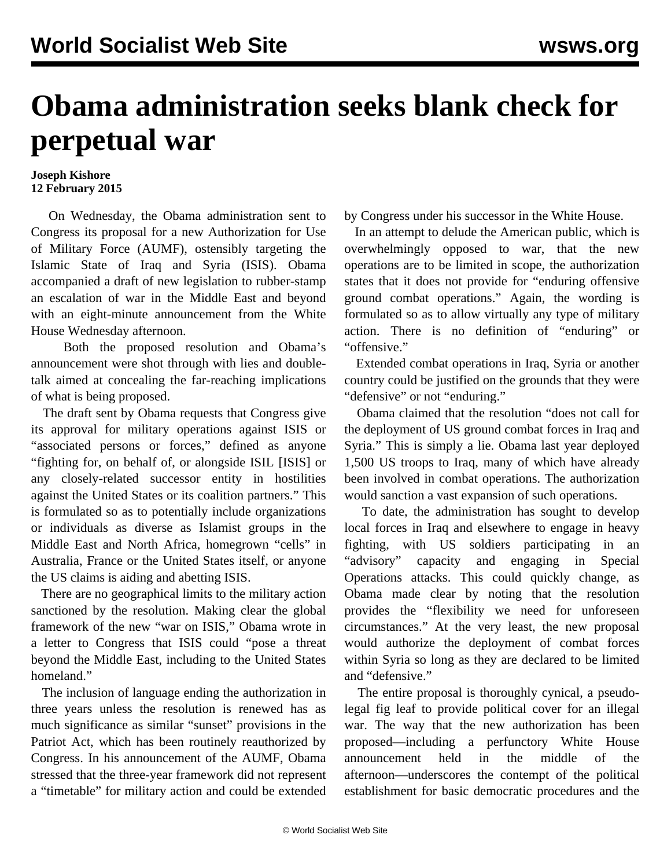## **Obama administration seeks blank check for perpetual war**

## **Joseph Kishore 12 February 2015**

 On Wednesday, the Obama administration sent to Congress its proposal for a new Authorization for Use of Military Force (AUMF), ostensibly targeting the Islamic State of Iraq and Syria (ISIS). Obama accompanied a draft of new legislation to rubber-stamp an escalation of war in the Middle East and beyond with an eight-minute announcement from the White House Wednesday afternoon.

 Both the proposed resolution and Obama's announcement were shot through with lies and doubletalk aimed at concealing the far-reaching implications of what is being proposed.

 The draft sent by Obama requests that Congress give its approval for military operations against ISIS or "associated persons or forces," defined as anyone "fighting for, on behalf of, or alongside ISIL [ISIS] or any closely-related successor entity in hostilities against the United States or its coalition partners." This is formulated so as to potentially include organizations or individuals as diverse as Islamist groups in the Middle East and North Africa, homegrown "cells" in Australia, France or the United States itself, or anyone the US claims is aiding and abetting ISIS.

 There are no geographical limits to the military action sanctioned by the resolution. Making clear the global framework of the new "war on ISIS," Obama wrote in a letter to Congress that ISIS could "pose a threat beyond the Middle East, including to the United States homeland."

 The inclusion of language ending the authorization in three years unless the resolution is renewed has as much significance as similar "sunset" provisions in the Patriot Act, which has been routinely reauthorized by Congress. In his announcement of the AUMF, Obama stressed that the three-year framework did not represent a "timetable" for military action and could be extended by Congress under his successor in the White House.

 In an attempt to delude the American public, which is overwhelmingly opposed to war, that the new operations are to be limited in scope, the authorization states that it does not provide for "enduring offensive ground combat operations." Again, the wording is formulated so as to allow virtually any type of military action. There is no definition of "enduring" or "offensive."

 Extended combat operations in Iraq, Syria or another country could be justified on the grounds that they were "defensive" or not "enduring."

 Obama claimed that the resolution "does not call for the deployment of US ground combat forces in Iraq and Syria." This is simply a lie. Obama last year deployed 1,500 US troops to Iraq, many of which have already been involved in combat operations. The authorization would sanction a vast expansion of such operations.

 To date, the administration has sought to develop local forces in Iraq and elsewhere to engage in heavy fighting, with US soldiers participating in an "advisory" capacity and engaging in Special Operations attacks. This could quickly change, as Obama made clear by noting that the resolution provides the "flexibility we need for unforeseen circumstances." At the very least, the new proposal would authorize the deployment of combat forces within Syria so long as they are declared to be limited and "defensive."

 The entire proposal is thoroughly cynical, a pseudolegal fig leaf to provide political cover for an illegal war. The way that the new authorization has been proposed—including a perfunctory White House announcement held in the middle of the afternoon—underscores the contempt of the political establishment for basic democratic procedures and the